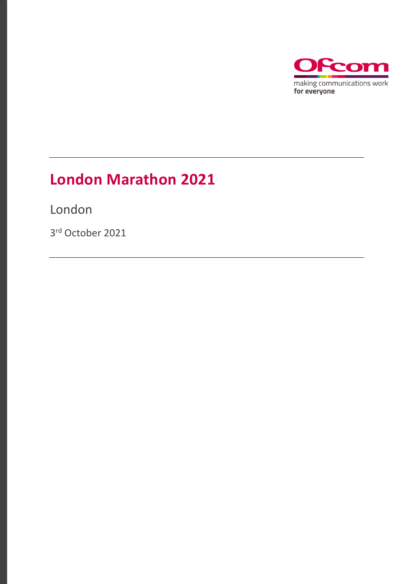

## **London Marathon 2021**

London

3 rd October 2021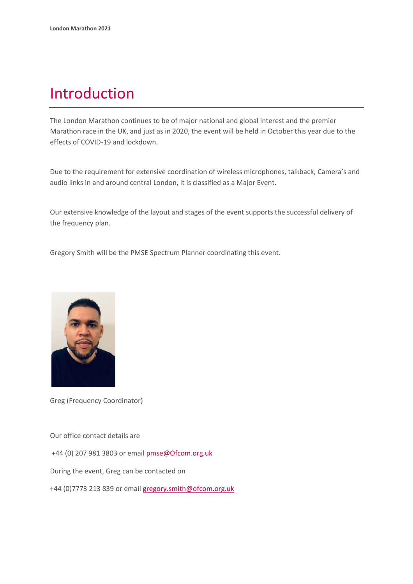### Introduction

The London Marathon continues to be of major national and global interest and the premier Marathon race in the UK, and just as in 2020, the event will be held in October this year due to the effects of COVID-19 and lockdown.

Due to the requirement for extensive coordination of wireless microphones, talkback, Camera's and audio links in and around central London, it is classified as a Major Event.

Our extensive knowledge of the layout and stages of the event supports the successful delivery of the frequency plan.

Gregory Smith will be the PMSE Spectrum Planner coordinating this event.



Greg (Frequency Coordinator)

Our office contact details are

+44 (0) 207 981 3803 or emai[l pmse@Ofcom.org.uk](mailto:pmse@arqiva.com)

During the event, Greg can be contacted on

+44 (0)7773 213 839 or email gregory.smith@ofcom.org.uk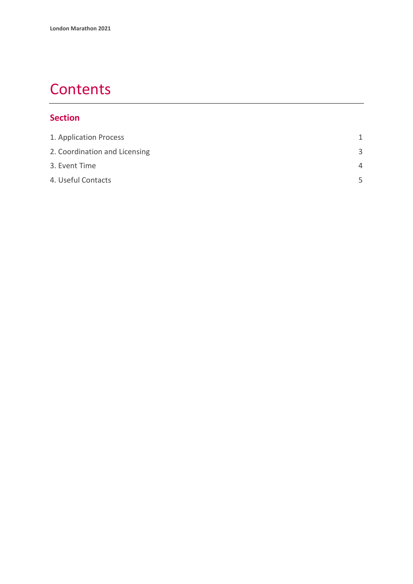## **Contents**

#### **Section**

| 1. Application Process        | 1        |
|-------------------------------|----------|
| 2. Coordination and Licensing | 3        |
| 3. Event Time                 | $\Delta$ |
| 4. Useful Contacts            | 5        |
|                               |          |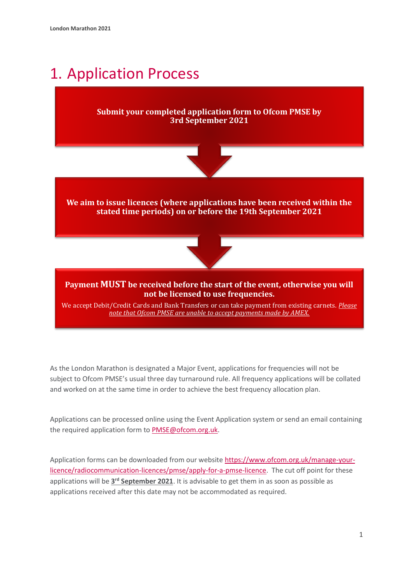## <span id="page-3-0"></span>1. Application Process

#### **Submit your completed application form to Ofcom PMSE by 3rd September 2021**



**We aim to issue licences (where applications have been received within the stated time periods) on or before the 19th September 2021**



#### **Payment MUST be received before the start of the event, otherwise you will not be licensed to use frequencies.**

We accept Debit/Credit Cards and Bank Transfers or can take payment from existing carnets. *Please note that Ofcom PMSE are unable to accept payments made by AMEX.*

As the London Marathon is designated a Major Event, applications for frequencies will not be subject to Ofcom PMSE's usual three day turnaround rule. All frequency applications will be collated and worked on at the same time in order to achieve the best frequency allocation plan.

Applications can be processed online using the Event Application system or send an email containing the required application form to PMSE@ofcom.org.uk.

Application forms can be downloaded from our website [https://www.ofcom.org.uk/manage-your](https://www.ofcom.org.uk/manage-your-licence/radiocommunication-licences/pmse/apply-for-a-pmse-licence)[licence/radiocommunication-licences/pmse/apply-for-a-pmse-licence.](https://www.ofcom.org.uk/manage-your-licence/radiocommunication-licences/pmse/apply-for-a-pmse-licence) The cut off point for these applications will be  $3<sup>rd</sup>$  September 2021</u>. It is advisable to get them in as soon as possible as applications received after this date may not be accommodated as required.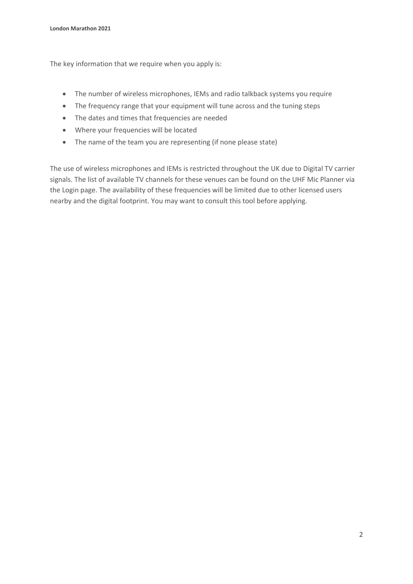The key information that we require when you apply is:

- The number of wireless microphones, IEMs and radio talkback systems you require
- The frequency range that your equipment will tune across and the tuning steps
- The dates and times that frequencies are needed
- Where your frequencies will be located
- The name of the team you are representing (if none please state)

The use of wireless microphones and IEMs is restricted throughout the UK due to Digital TV carrier signals. The list of available TV channels for these venues can be found on the UHF Mic Planner via the Login page. The availability of these frequencies will be limited due to other licensed users nearby and the digital footprint. You may want to consult this tool before applying.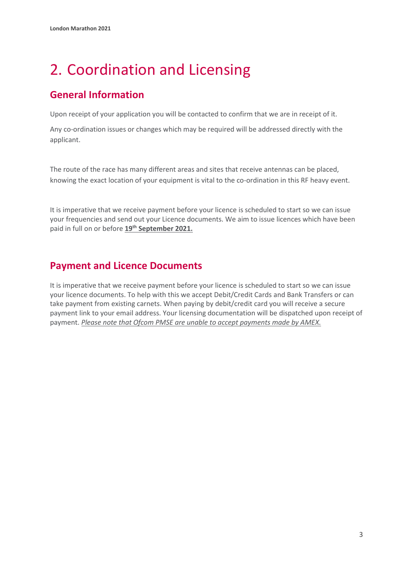# <span id="page-5-0"></span>2. Coordination and Licensing

### **General Information**

Upon receipt of your application you will be contacted to confirm that we are in receipt of it.

Any co-ordination issues or changes which may be required will be addressed directly with the applicant.

The route of the race has many different areas and sites that receive antennas can be placed, knowing the exact location of your equipment is vital to the co-ordination in this RF heavy event.

It is imperative that we receive payment before your licence is scheduled to start so we can issue your frequencies and send out your Licence documents. We aim to issue licences which have been paid in full on or before **19 th September 2021.**

### **Payment and Licence Documents**

It is imperative that we receive payment before your licence is scheduled to start so we can issue your licence documents. To help with this we accept Debit/Credit Cards and Bank Transfers or can take payment from existing carnets. When paying by debit/credit card you will receive a secure payment link to your email address. Your licensing documentation will be dispatched upon receipt of payment. *Please note that Ofcom PMSE are unable to accept payments made by AMEX.*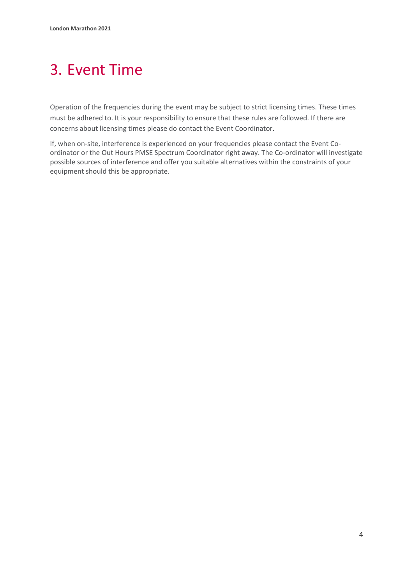# <span id="page-6-0"></span>3. Event Time

Operation of the frequencies during the event may be subject to strict licensing times. These times must be adhered to. It is your responsibility to ensure that these rules are followed. If there are concerns about licensing times please do contact the Event Coordinator.

If, when on-site, interference is experienced on your frequencies please contact the Event Coordinator or the Out Hours PMSE Spectrum Coordinator right away. The Co-ordinator will investigate possible sources of interference and offer you suitable alternatives within the constraints of your equipment should this be appropriate.